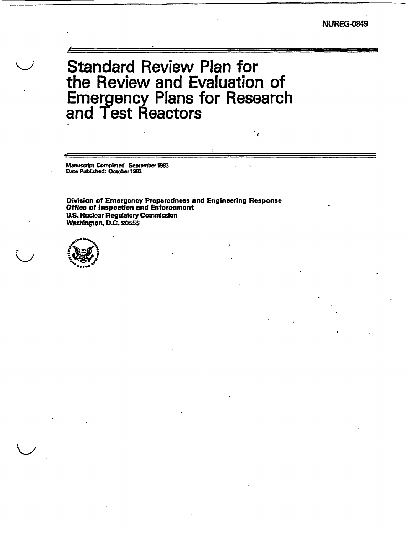# Standard Review Plan for the Review and Evaluation of Emergency Plans for Research and Test Reactors

Manuscript Completed September 1983 Date Published: October 1983

Division of Emergency Preparedness and Engineering Response Office of Inspection and Enforcement **US.** Nuclear Regulatory Commission Washington, D.C. 20555

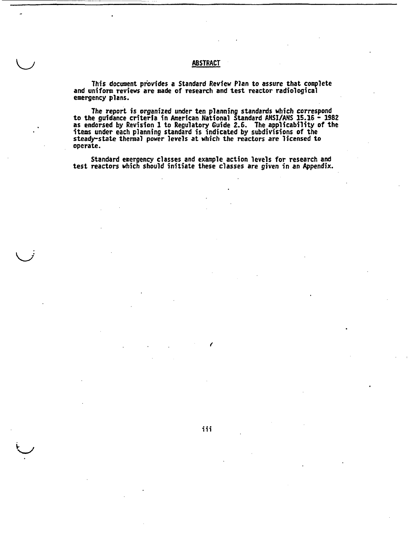## ABSTRACT

This document provides a Standard Review Plan to assure that complete and uniform reviews are made of research and test reactor radiological emergency plans.

The report is organized under ten planning standards which correspond to the guidance criteria in American National Standard ANSI/ANS 15.16 - 1982 as endorsed by Revision 1 to Regulatory Guide 2.6. The applicability of the items under each planning standard is indicated by subdivisions of the steady-state thermal power levels at which the reactors are licensed to operate.

Standard emergency classes and example action levels for research and test reactors which should initiate these classes are given in an Appendix.

iii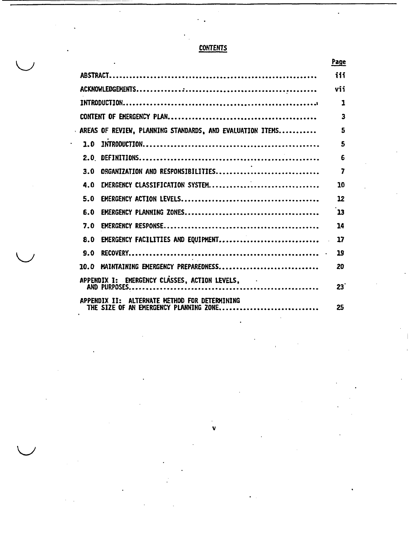# **CONTENTS**

|                                                                                         | Page                    |
|-----------------------------------------------------------------------------------------|-------------------------|
|                                                                                         | iii                     |
|                                                                                         | vii                     |
|                                                                                         | $\mathbf{1}$            |
|                                                                                         | $\overline{\mathbf{3}}$ |
| AREAS OF REVIEW, PLANNING STANDARDS, AND EVALUATION ITEMS                               | 5                       |
| 1.0                                                                                     | 5                       |
|                                                                                         | 6                       |
| ORGANIZATION AND RESPONSIBILITIES<br>3.0                                                | 7                       |
| EMERGENCY CLASSIFICATION SYSTEM<br>4.0                                                  | 10                      |
| 5.0                                                                                     | 12                      |
| 6.0                                                                                     | 13                      |
| 7.0                                                                                     | 14                      |
| EMERGENCY FACILITIES AND EQUIPMENT<br>8.0                                               | 17                      |
| 9.0                                                                                     | 19                      |
| MAINTAINING EMERGENCY PREPAREDNESS<br>10.O                                              | 20                      |
| APPENDIX I: EMERGENCY CLASSES, ACTION LEVELS,                                           | 23                      |
| APPENDIX II: ALTERNATE METHOD FOR DETERMINING<br>THE SIZE OF AN EMERGENCY PLANNING ZONE | 25                      |

**V**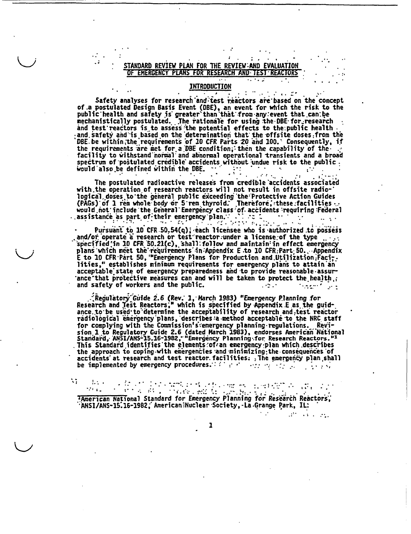### STANDARD REVIEW PLAN FOR THE REVIEW:AND EVALUATION EMERGENCY PLANS FOR RESEARCH AND TEST REACTORS

### INTRODUCTION

- 10

- 1

 $\mathcal{L}$  and  $\mathcal{L}^*$ 

 $\mathbb{R}^{2n}$  , and  $\mathbb{R}^{2n}$ 

Safety analyses for research and test reactors are based on the concept of a postulated Design Basis Event (DBE), an event for which the risk to the public health and safety is greater than that from any event that can be mechanistically postulated. The rationale for using the DBE for research and test reactors is to assess the potential effects to the public health<br>and safety and is based on the determination that the offsite doses from the<br>DBE be within the requirements of 10 CFR Parts 20 and 100. Consequently the requirements are met for a DBE condition; then the capability of the facility to withstand normal and abnormal operational transients and a broad spectrum of postulated credible accidents without undue risk to the public. would also be defined within the DBE.  $\cdots$  $\mathbb{R}^2 \times \mathbb{R}^2$  $\mathcal{L}$  $\mathcal{L}^{(2)}(t)$  ,  $\mathcal{L}^{(2)}$ 

The postulated radioactive releases from credible accidents associated with the operation of research reactors will not result in offsite radiological doses to the general public exceeding the Protective Action Guides<br>(PAGs) of 1 rem whole body or 5 rem thyroid. Therefore, these facilities<br>would not include the General Emergency class of accidents requiring Feder

٠.,

Pursuant to 10 CFR 50.54(q); each licensee who is authorized to possess and/or operate a research or test reactor under a license of the type specified in 10 CFR 50.21(c), shall follow and maintain in effect emergency plans which meet the requirements in Appendix E to 10 CFR Part 50. Appendix E to 10 CFR Part 50, "Emergency Plans for Production and Utilization Facilities," establishes minimum requirements for emergency plans to attain an acceptable state of emergency preparedness and to provide reasonable assurance that protective measures can and will be taken to protect the health, and safety of workers and the public. tragent land  $1.12.1$ 

Regulatory Guide 2.6 (Rev. 1, March 1983) "Emergency Planning for " Research and Test Reactors." which is specified by Appendix E as the guidance to be used to determine the acceptability of research and test reactor radiological emergency plans, describes a method acceptable to the NRC staff for complying with the Commission's emergency planning regulations. Revision 1 to Regulatory Guide 2.6 (dated March 1983), endorses American National<br>Standard, ANSI/ANS-15.16-1982, "Emergency Planning for Research Reactors."1<br>This Standard identifies the elements of an emergency plan which des the approach to coping with emergencies and minimizing the consequences of accidents at research and test reactor facilities: The emergency plan shall be implemented by emergency procedures. We have  $\cdots$  and  $\cdots$ 

W

(1) 2012年12月12日 12月23日 12月1日 12月1日 12月1日<br>アプター的リーンの6年1回年(全国語社会社会社会社会社会  $\mathcal{O}(1/\sqrt{2})$ TAmerican Hational Standard for Emergency Planning for Research Reactors, 'ANSI/ANS-15.16-1982, American Nuclear Society, La Grange Park, IL: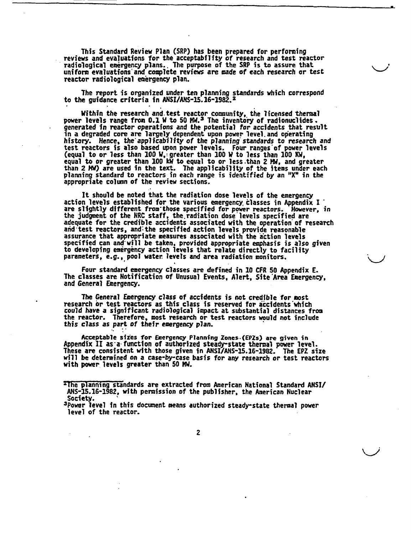This Standard Review Plan (SRP) has been prepared for performing reviews and evaluations for the acceptability of research and test reactor radiological emergency plans.. The purpose of the SRP is to assure that uniform evaluations and complete reviews are made of each research or test reactor radiological emergency plan.

The report is organized under ten planning standards which correspond to the guidance criteria in ANSI/ANS-15.16-1982.

Within the research and test reactor community, the licensed thermal power levels range from 0.1 W to 50 MW.<sup>3</sup> The inventory of radionuclides generated in reactor operations and the potential for accidents that result<br>in a degraded core are largely dependent upon power level and operating history. Hence, the applicability of the planning standards to research and test reactors is also based upon power levels. Four ranges'of power levels (equal to or less than **100** W,: greater than 100 W to less than **100 XW,** equal to or greater than 100 kW to equal to or less than 2 MW, and greater<br>than 2 MW) are used in the text. The applicability of the items under each than 2 MW) are used in the text. The applicability of the items under each planning standard to reactors in each range is identified by an "X" in the appropriate column of the review sections.

It should be noted that the radiation dose levels of the emergency action levels established for the various emergency, classes in Appendix I are slightly different from'those specified for power reactors. However, in the judgment of the NRC staff, the.radiation dose'levels specified are adequate for the credible accidents associated with the operation of research and'test reactors, and:the specified action levels provide reasonable assurance that appropriate measures associated with the action levels specified can and'will be taken, provided appropriate emphasis is also given to developing emergency action levels that relate directly to facility parameters, e.g.., pool water levels and area radiation monitors.

Four standard emergency classes are defined in 10 CFR **50** Appendix E. The classes are Notification of Unusual Events, Alert, Site'Area Emergency, and General Emergency.

The General Emergency class of accidents is not credible for most research br test reactors as this class is reserved for accidents 'which could have a significant radiological impact at substantial distances from the reactor. Therefore, most research or test reactors would not include *this* class *as* part of their emergency *plan.*

Acceptab]e sizes for Emergency Planning Zones..(EPZs) are given in Appendix II as a function of authorized steady-state thermal power level. These are consistent with those given in ANSI/ANS-15.16-1982. The EPZ size will be determined on a case-by-case basis for any research or test reactors with power levels greater than 50 NW.

The planning standards are extracted from American National Standard ANSI ANS-15.16-1982, with permission of the publisher, the American Nuclear

Society.<br><sup>3</sup>Power level in this document means authorized steady-state thermal power<br>level of the reactor.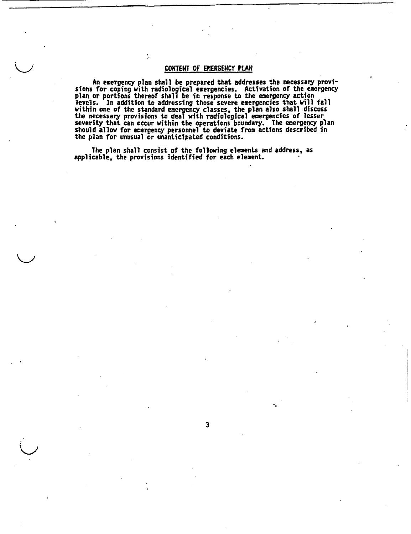### CONTENT OF EMERGENCY PLAN

 $\ddot{\phantom{a}}$ 

An emergency plan shall be prepared that addresses the necessary provi- sions for coping with radiological emergencies. Activation of the emergency plan or portions thereof shall be in response to the emergency action levels. In addition to addressing those severe emergencies that will fall within one of the standard emergency classes, the plan also shall discuss the necessary provisions to deal with radiological emergencies of lesser severity that can occur within the operations boundary. The emergency plan should allow for emergency personnel to deviate from actions described in the plan for unusual or unanticipated conditions.

**3**

The plan shall consist of the following elements and address, as applicable, the provisions identified for each element.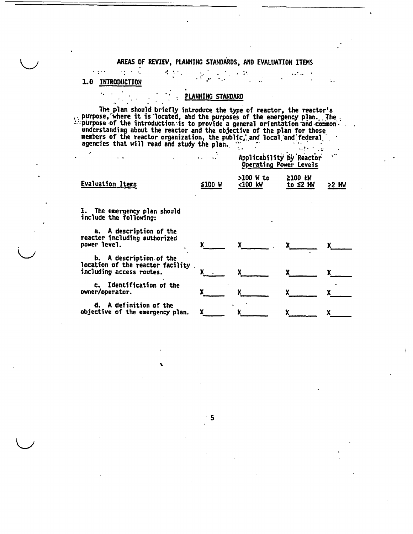### AREAS OF REVIEW, PLANNING STANDARDS, AND EVALUATION ITEMS

. .

### 1.0 INTRODUCTION

 $\epsilon$  ,  $\epsilon$  ,  $\epsilon$ 

 $\alpha_{\rm{max}}$  ,  $\alpha_{\rm{max}}$ 

 $\sigma_{\rm c}$  ,  $\sigma_{\rm c}$  ,

### PLANNING STANDARD

The plan should briefly introduce the type of reactor, the reactor purpose, where it is located, and the purposes of the emergency plan. . The reactor ,:-purpose.of the introduction--is to provide a general orientation "and conimon'." understanding about the reactor and the objective of the plan for those members of the reactor organization, the public, and local and federal agencies that will read and study the plan.

| agencies ende with read and seady ene plan.<br>$\cdot$<br>. . | $\bullet$ |           | <b>Contract Contract Contract</b><br>Applicability by Reactor<br>Operating Power Levels | in the |
|---------------------------------------------------------------|-----------|-----------|-----------------------------------------------------------------------------------------|--------|
| Evaluation Items                                              | ≤100      | >100 W to | <b>≥100 kW</b>                                                                          | - MW   |
|                                                               | W         | <100 kW   | to $\leq 2$ MW                                                                          | 52.    |

1. The emergency plan should include the following:

a. A description of the reactor including authorize

 $\bigcup$ 

| reactor including authorized<br>power level.                                            |  |  |
|-----------------------------------------------------------------------------------------|--|--|
| b. A description of the<br>location of the reactor facility<br>including access routes. |  |  |
| c. Identification of the<br>owner/operator.                                             |  |  |
| d. A definition of the<br>objective of the emergency plan.                              |  |  |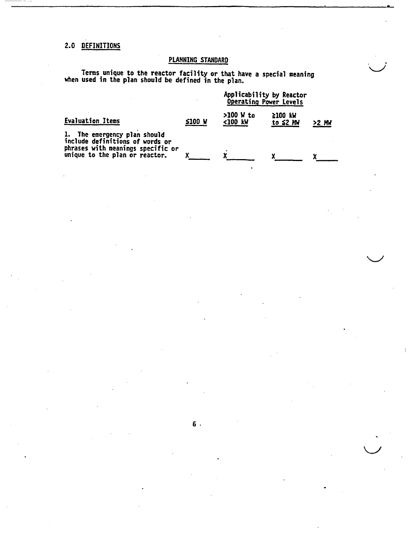# 2.0 DEFINITIONS

# PLANNING STANDARD

**A-**

Terms unique to the reactor facility or that have a special meaning when used in the plan should be defined in the plan.

|                                                                     |        | Applicability by Reactor<br>Operating Power Levels |                           |       |
|---------------------------------------------------------------------|--------|----------------------------------------------------|---------------------------|-------|
| <b>Evaluation Items</b>                                             | ≤100 W | $>100$ W to<br><100 kW                             | 2100 KW<br>to $\leq 2$ MW | >2 MM |
| 1. The emergency plan should<br>include definitions of words or     |        |                                                    |                           |       |
| phrases with meanings specific or<br>unique to the plan or reactor. |        |                                                    |                           |       |

**6.**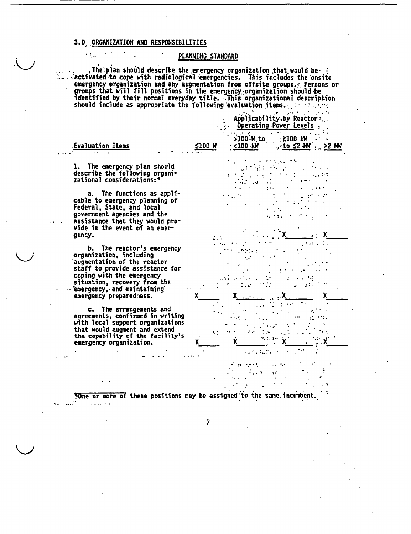### 3.0 ORGANIZATION AND RESPONSIBILITIES

### PLANNING STANDARD

The plan should describe the emergency organization that would be :<br>- activated to cope with radiological emergencies. This includes the onsite<br>emergency organization and any augmentation from offsite groups. Persons or<br>g

 $\ldots$  .  $\sim$ 

**College** 

|                                                                                                                                                                                                                                               |        | Applicability by Reactor:<br>Operating Power Levels                                          |
|-----------------------------------------------------------------------------------------------------------------------------------------------------------------------------------------------------------------------------------------------|--------|----------------------------------------------------------------------------------------------|
| Evaluation Items                                                                                                                                                                                                                              | ≤100 W | >100 W to<br>$: 2100$ kW<br><u>: &lt;100 kW</u><br>$\cdot$ , to $\leq 2$ MM $\cdot$<br>22 MW |
| 1. The emergency plan should<br>describe the following organi-<br>zational considerations:4                                                                                                                                                   |        |                                                                                              |
| a. The functions as appli-<br>cable to emergency planning of<br>Federal, State, and local<br>government agencies and the<br>assistance that they would pro-<br>vide in the event of an emer-<br>gency.                                        |        |                                                                                              |
| b. The reactor's emergency<br>organization, including<br>augmentation of the reactor<br>staff to provide assistance for<br>coping with the emergency<br>situation, recovery from the<br>emergency, and maintaining<br>emergency preparedness. |        |                                                                                              |
| c. The arrangements and<br>agreements, confirmed in writing<br>with local support organizations<br>that would augment and extend<br>the capability of the facility's<br>emergency organization.                                               |        |                                                                                              |
|                                                                                                                                                                                                                                               |        |                                                                                              |

TOne or more of these positions may be assigned to the same incumbent. د د د د

 $\overline{\mathbf{z}}$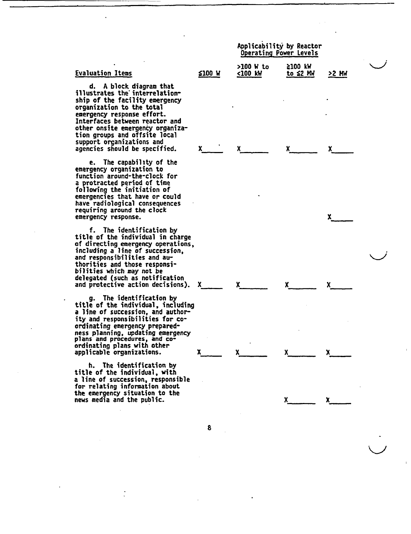|                                                                                                                                                                                                                                                                                                                             |               | Applicability by Reactor<br><b>Operating Power Levels</b> |                              |       |  |
|-----------------------------------------------------------------------------------------------------------------------------------------------------------------------------------------------------------------------------------------------------------------------------------------------------------------------------|---------------|-----------------------------------------------------------|------------------------------|-------|--|
| <b>Evaluation Items</b>                                                                                                                                                                                                                                                                                                     | <b>≤100 W</b> | >100 W to<br><100 kW                                      | $2100$ kW<br><u>to ≤2 MW</u> | 22 MW |  |
| d. A block diagram that<br>illustrates the interrelation-<br>ship of the facility emergency<br>organization to the total<br>emergency response effort.<br>Interfaces between reactor and<br>other onsite emergency organiza-<br>tion groups and offsite local<br>support organizations and<br>agencies should be specified. | X.            |                                                           |                              |       |  |
| e. The capability of the<br>emergency organization to<br>function around-the-clock for<br>a protracted period of time<br>following the initiation of<br>emergencies that have or could<br>have radiological consequences<br>requiring around the clock<br>emergency response.                                               |               |                                                           |                              | x.    |  |
| f. The identification by<br>title of the individual in charge<br>of directing emergency operations,<br>including a line of succession,<br>and responsibilities and au-<br>thorities and those responsi-<br>bilities which may not be<br>delegated (such as notification<br>and protective action decisions).                | X.            | x.                                                        | x.                           |       |  |
| g. The identification by<br>title of the individual, including<br>a line of succession, and author-<br>ity and responsibilities for co-<br>ordinating emergency prepared-<br>ness planning, updating emergency<br>plans and procedures, and co-                                                                             |               |                                                           |                              |       |  |

**x** x x

**x\_\_ x**

 $\bigcup$ 

ordinating plans with other

h. The identification by **title of the individual, with** a line of succession, responsible for relating information about the emergency situation to the news media and the public.

extended promotive control of the same of the same of the same of the same of the same of the same of the same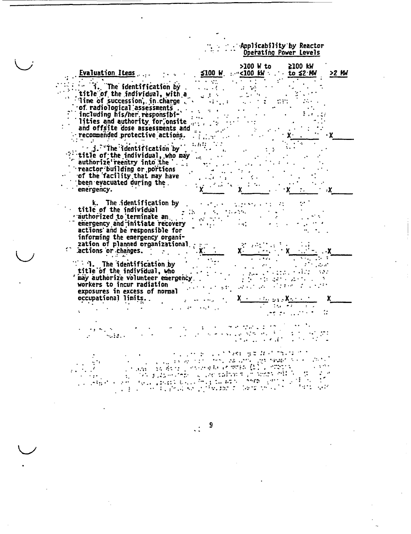## : Applicability by Reactor<br>Operating Power Levels  $\mathbb{R}^2$

| Evaluation Items                                                                                                                                                                                                                                                          |                                                                                                                                                      | >100 W to<br>$$100$ W. $~\cdot~$ <100 KW $~\cdot~$ to \$2 MW                                                                                                          | $2100$ kW                 | >2 MW |
|---------------------------------------------------------------------------------------------------------------------------------------------------------------------------------------------------------------------------------------------------------------------------|------------------------------------------------------------------------------------------------------------------------------------------------------|-----------------------------------------------------------------------------------------------------------------------------------------------------------------------|---------------------------|-------|
| $\int$ title of the individual, with a<br>Tine of succession, in charge<br>$\cdot$ of radiological assessments .<br>including his/her responsibi-<br>lities and authority for onsite<br>and offsite dose assessments and<br>recommended protective actions.<br>din Salah  |                                                                                                                                                      |                                                                                                                                                                       |                           |       |
| $\cdots$ j. $\sqrt[n]{\text{the}}$ identification by<br>title of the individual, who may<br>authorize reentry into the<br>reactor building or portions<br>of the facility that may have<br>been evacuated during the.<br>emergency.                                       | $\mathbf{a}$<br>$\mathcal{L}(\mathcal{L})$<br>$\sim 100$<br>$\mathcal{L} = \{ \mathcal{L} \mid \mathcal{L} \in \mathcal{L} \}$ , where $\mathcal{L}$ |                                                                                                                                                                       |                           |       |
| k. The identification by<br>title of the individual<br>rauthorized to terminate and the control of<br>emergency and initiate recovery<br>actions and be responsible for<br>informing the emergency organi-<br>zation of planned organizational<br>$i$ actions or changes. | ria a<br>$\mathcal{L}_{\text{max}} = \mathcal{L}_{\text{max}}$ , where $\mathcal{L}_{\text{max}}$                                                    | $\sim 10^{-11}$                                                                                                                                                       |                           |       |
| $\therefore$ i. The identification by<br>title of the individual, who<br>may authorize volunteer emergency.<br>workers to incur radiation<br>exposures in excess of normal<br>occupational limits.                                                                        |                                                                                                                                                      | e e a propincia de la California<br>La propincia de la California<br>$\mathbf{y} = \mathbf{X} \times \mathbb{R}$ and $\mathbf{y}$ is $\mathbf{X} \times \mathbb{R}$ . | $\mathbf{r} = \mathbf{r}$ |       |
|                                                                                                                                                                                                                                                                           |                                                                                                                                                      | كالقارية العائلة الهراروجة والجالة                                                                                                                                    |                           |       |
| A. Sergio internato in 1976 (2011)<br>$-1.533$                                                                                                                                                                                                                            |                                                                                                                                                      | 391 H.H.W.<br>nes, la component space is consistent.                                                                                                                  |                           |       |

9  $\ddot{\cdot}$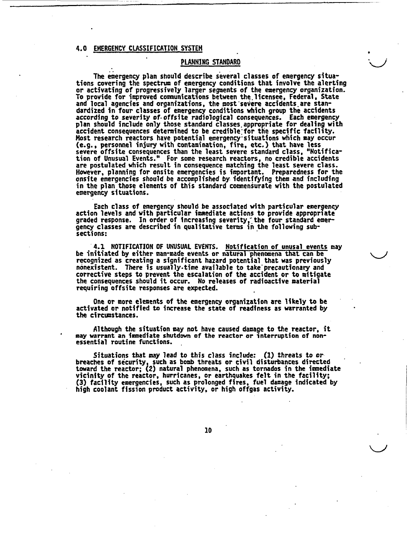### 4.0 EMERGENCY CLASSIFICATION SYSTEM

### PLAHNING STANDARD

The emergency plan should describe several classes of emergency situations covering the spectrum of emergency conditions that involve the alerting or activating of progressively larger segments of the emergency organization. To provide for improved communications between tle.licensee, Federal, State and local agencies and organizations, the most'severe accidents are standardized in four classes of emergency conditions which group the accidents according to severity of.offslte radiological consequences. Each emergency plan should include only those standard classes.appropriate for dealing with prim shows instead only shows somhing discover specific facility. Host research reactors have potential emergency situations which may occur (e.g., personnel injury with contamination, fire, etc.) that have less severe offsite consequences than the least severe standard class, "Notification of Unusual Events." For some research reactors, no credible accidents are postulated which result in consequence matching the least severe class. However, planning for onsite emergencies is important. Preparedness for the onsite emergencies should be accomplished **by** identifying them and including in the plan those elements of this standard commensurate with the postulated emergency situations.

Each class of emergency should be associated with particular emergency action levels and with particular immediate actions to provide appropriate graded response. In order of increasing severity, the four standard emergency classes are described in qualitative terms in the following subsections:

4.1 NOTIFICATION OF UNUSUAL EVENTS. Notification of unusal events may be initiated by either man-made events or natural phenomena that can be recognized as creating a significant hazard potential that was previously nonexistent. There is usually.time available to take'precautionary and corrective steps to prevent the escalation of the accident or to mitigate the consequences should it occur. No releases of radioactive material requiring offsite responses are expected.

One or more elements of the emergency organization are likely to be activated or notified to increase the state of readiness as warranted by the circumstances.

Although the situation may not have caused damage to the reactor, it may warrant an immediate shutdown of the reactor or interruption of nonessential routine functions.

Situations that may lead to this class include: **(1)** threats to or breaches of security, such as bomb threats or civil disturbances directed toward the reactor; (2) natural phenomena, such as tornados in the immediate vicinity of the reactor, hurricanes, or earthquakes felt in the facility; (3) facility emergencies, such as prolonged fires, fuel damage indicated by high coolant fission product activity, or high offgas activity.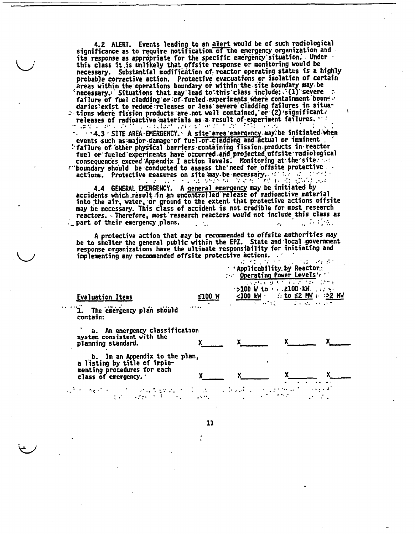4.2 ALERT. Events leading to an alert would be of such radiological significance as to require notification of the emergency organization and its response as appropriate for the specific emergency situation. Under this class it is unlikely that offsite response or monitoring would be necessary. Substantial modification of reactor operating status is a highly probable corrective action. Protective evacuations or isolation of certain areas within the operations boundary or within the site boundary may be<br>"necessary." Situations that may lead to this class include: (1) severe a<br>failure of fuel cladding or of fueled experiments where containment bounts daries'exist to reduce-releases or less severe cladding failures in situa-<br>
: tions where fission products are not well contained, or (2) significant: releases of radioactive materials as a result of experiment failures. Louis Dances and on the Car

......4.3: SITE AREA EMERGENCY. A site area emergency may be initiated when events such as major damage of fuel or cladding and actual or imminent : failure of other physical barriers containing fission products in reactor fuel or fueled experiments have occurred and projected offsite radiological consequences exceed Appendix I action levels. Monitoring at the site. " boundary should be conducted to assess the need for offsite protective actions. Protective measures on site may be necessary. If the site of the state  $\mathcal{L}^{\mathcal{A}}$  and  $\mathcal{L}^{\mathcal{A}}$ 

4.4 GENERAL EMERGENCY. A general emergency may be initiated by accidents which result in an uncontrolled release of radioactive material into the air, water, or ground to the extent that protective actions offsite may be necessary. This class of accident is not credible for most research reactors. Therefore, most research reactors would not include this class as  $\mathcal{L}_{\mathbf{z}}$  part of their emergency plans.

A protective action that may be recommended to offsite authorities may be to shelter the general public within the EPZ. State and local government response organizations have the ultimate responsibility for initiating and implementing any recommended offsite protective actions. ..  $d\geq 2$  ,  $d\geq 2$ 2. "中国的情况

| $\overline{\mathcal{F}^{\mathcal{F}}}$ with $\mathcal{E}^{\mathcal{F}}=\mathcal{E}^{\mathcal{F}}$ , where the set of |                                                                                                                                                                                                   |
|----------------------------------------------------------------------------------------------------------------------|---------------------------------------------------------------------------------------------------------------------------------------------------------------------------------------------------|
|                                                                                                                      |                                                                                                                                                                                                   |
|                                                                                                                      |                                                                                                                                                                                                   |
|                                                                                                                      |                                                                                                                                                                                                   |
|                                                                                                                      | a katalog atau<br>$\mathcal{L} = \mathcal{L} \mathcal{L} = \mathcal{L} \mathcal{L} \mathcal{L} \mathcal{L} \mathcal{L} \mathcal{L} \mathcal{L} = \mathcal{L} \mathcal{L} \mathcal{L} \mathcal{L}$ |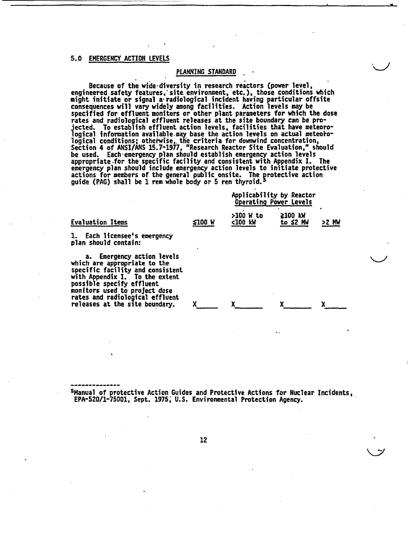### 5.0 EMERGENCY ACTION LEVELS

### PLANNING STANDARD

Because of the wide-diversity in research reactors (power level, engineered safety features,' site.environment, etc.), those conditions which might initiate or signal a-radiological incident having particular offsite consequences will vary widely among facilities. Action levels may be specified for effluent monitors or other plant parameters for which the dose rates and radiological effluent releases at the site boundary can be projected. To establish effluent action levels, facilities that have meteorological information available may base the action levels on actual meteorological conditions; otherwise, the criteria for downwind concentration Section 4 of ANSI/ANS 15.7-1977, "Research Reactor Site Evaluation," should be used. Each-emergency plan should establish emergency action levels appropriate .for the specific facility and consistent with Appendix I. The emergency plan should include emergency action levels to initiate protective actions for members of the general public onsite. The protective action guide (PAG) shall be **1** rem whole body or 5 rem thyroid.-

|                                                                                                                                                                                                                                                                     |        | Applicability by Reactor<br>Operating Power Levels |                     |       |
|---------------------------------------------------------------------------------------------------------------------------------------------------------------------------------------------------------------------------------------------------------------------|--------|----------------------------------------------------|---------------------|-------|
| <b>Evaluation Items</b>                                                                                                                                                                                                                                             | ≨100 W | $>100$ W to<br><100 kW                             | ≩100 kW<br>to ≤2 MW | >2 MW |
| 1. Each licensee's emergency<br>plan should contain:                                                                                                                                                                                                                |        |                                                    |                     |       |
| a. Emergency action levels<br>which are appropriate to the<br>specific facility and consistent<br>with Appendix I. To the extent<br>possible specify effluent<br>monitors used to project dose<br>rates and radiological effluent<br>releases at the site boundary. |        |                                                    |                     |       |
|                                                                                                                                                                                                                                                                     |        |                                                    |                     |       |

SManual of protective Action Guides and Protective Actions for Nuclear Incidents, EPA-520/1-75001, Sept. 1975; U.S. Environmental Protection Agency.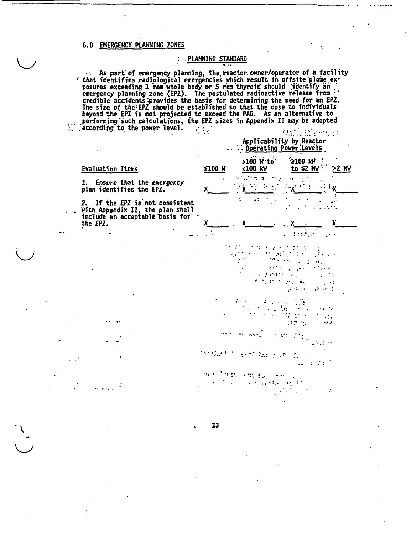### 6.0 EMERGENCY PLANNING ZONES

### . PLANNING STANDARD

 $\ddot{\cdot}$ 

.. As part of emergency planning, the reactor owner/operator of a facility<br>'that identifies radiological emergencies which result in offsite plume ex-Inat identifies radiological emergencies which result in offsite plume ex-<br>posures exceeding 1 rem whole body or 5 rem thyroid should jidentify an<br>emergency planning zone (EPZ). The postulated radioactive release from<br>cred

|                                                                                                                     | $\ldots$ :<br>Applicability by Reactor<br>: Operating Power Levels              |
|---------------------------------------------------------------------------------------------------------------------|---------------------------------------------------------------------------------|
| <b>Evaluation Items</b>                                                                                             | $>100$ $W$ to<br>'≥100 kW<br>≨100 W<br>to $$2 \, \text{Mm}$<br><100 kW<br>>2 MW |
| 1. Ensure that the emergency<br>plan identifies the EPZ.                                                            | ٠.<br>X                                                                         |
| 2. If the EPZ is not consistent<br>with Appendix II, the plan shall<br>include an acceptable basis for.<br>the EPZ. | ÷<br>، ،                                                                        |
|                                                                                                                     | x                                                                               |
|                                                                                                                     | b.                                                                              |
|                                                                                                                     | a.<br>$\cdot$ . $\cdot$                                                         |
|                                                                                                                     |                                                                                 |
|                                                                                                                     |                                                                                 |
|                                                                                                                     | $\ddot{\phantom{a}}$                                                            |
|                                                                                                                     | 13                                                                              |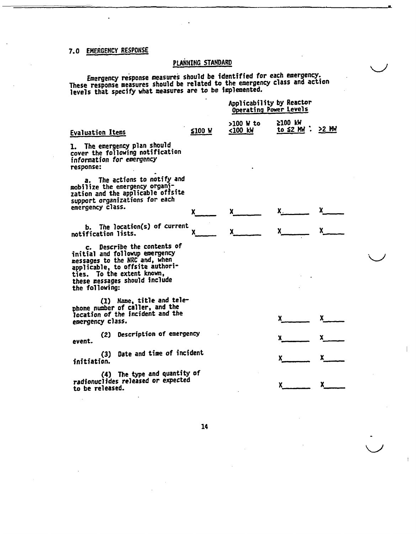# 7.0 EMERGENCY RESPONSE

# PLANNING STANDARD

Emergency response measures should be identified for each emergency. Emergency response measures should be ruencilled for each chargency.<br>These meanings measures should be related to the emergency class and action These response measures should be related to the emerge<br>loughs that specify what measures are to be implemented

|                                                                                                                                                                                                                    |          | Applicability by Reactor<br>Operating Power Levels |                              |    |  |
|--------------------------------------------------------------------------------------------------------------------------------------------------------------------------------------------------------------------|----------|----------------------------------------------------|------------------------------|----|--|
| <b>Evaluation Items</b>                                                                                                                                                                                            | $$100$ W | $>100$ W to<br><100 kW                             | ≥100 kW<br>to \$2 MM : >2 MM |    |  |
| 1. The emergency plan should<br>cover the following notification<br>information for emergency<br>response:                                                                                                         |          |                                                    |                              |    |  |
| a. The actions to notify and<br>mobilize the emergency organi-<br>zation and the applicable offsite<br>support organizations for each<br>emergency class.                                                          | X.       | $\mathbf{x}$                                       |                              |    |  |
|                                                                                                                                                                                                                    |          |                                                    |                              |    |  |
| b. The location(s) of current<br>notification lists.                                                                                                                                                               | X.       |                                                    |                              |    |  |
| c. Describe the contents of<br>initial and followup emergency<br>messages to the NRC and, when<br>applicable, to offsite authori-<br>ties. To the extent known,<br>these messages should include<br>the following: |          |                                                    |                              |    |  |
| (1) Name, title and tele-<br>phone number of caller, and the<br>location of the incident and the<br>emergency class.                                                                                               |          |                                                    |                              | x. |  |
| (2) Description of emergency<br>event.                                                                                                                                                                             |          |                                                    |                              | x. |  |
| Date and time of incident<br>(3)<br>initiation.                                                                                                                                                                    |          |                                                    |                              |    |  |
| (4) The type and quantity of<br>radionuclides released or expected<br>to be released.                                                                                                                              |          |                                                    |                              |    |  |
|                                                                                                                                                                                                                    |          |                                                    |                              |    |  |
|                                                                                                                                                                                                                    | 14       |                                                    |                              |    |  |
|                                                                                                                                                                                                                    |          |                                                    |                              |    |  |
|                                                                                                                                                                                                                    |          |                                                    |                              |    |  |
|                                                                                                                                                                                                                    |          |                                                    |                              |    |  |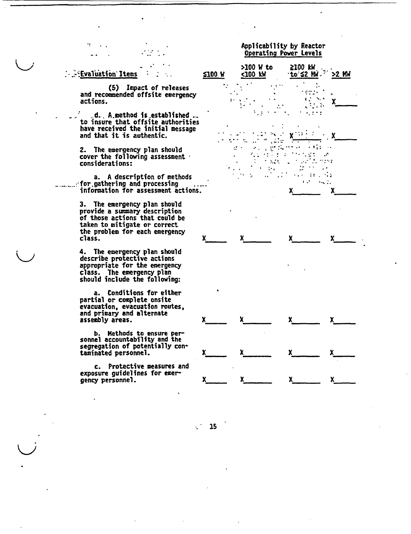### Evaluation Items

(5) Impact of releases and recommended offsite emergency actions.

d.. A.method is.established to insure that offsite authorities have received the initial message and that it is authentic.

2. The emergency plan should cover the following assessment • considerations:

a. A description of methods<br>for.gathering and processing….. information for assessment actions.

3. The emergency plan should provide a summary description of those actions that could be taken to mitigate or correct the problem for each emergency<br>class.

4. The emergency plan should describe protective actions appropriate for the emergency class. The emergency plan should include the following:

a. Conditions for either partial or complete onsite evacuation, evacuation routes, and primary and alternate assembly areas.

b. Methods to ensure per- sonnel accountability and the segregation of potentially contaminated personnel.

c. Protective measures and exposure guidelines for emergency personnel.

 $\setminus$ 

# Operating Power Levels >100 W to **Z100** kW •to:'2 KdF >2 *MW* **5100 W <100 KW**  $\ddot{\cdot}$ ende 1 **S..** . E ~ X  $\ddotsc$ ,  $\sim$  ,  $\sim$  ,  $\sim$  ,  $\sim$  ,  $\sim$  ,  $\sim$  ,  $\sim$  ,  $\sim$  ,  $\sim$  ,  $\sim$  ,  $\sim$  ,  $\sim$  ,  $\sim$  ,  $\sim$  ,  $\sim$  ,  $\sim$  ,  $\sim$  ,  $\sim$  ,  $\sim$  ,  $\sim$  ,  $\sim$  ,  $\sim$  ,  $\sim$  ,  $\sim$  ,  $\sim$  ,  $\sim$  ,  $\sim$  ,  $\sim$  ,  $\sim$  ,  $\sim$  ,  $\sim$  ,  $\$  $\sim$   $\pm$   $\pm$  $\sim$  .  $\mathbb{R}^2$  $\mathcal{L}$  $\ddot{\cdot}$ ويدوه  $\sim 10$ . .  $\ddot{\phantom{0}}$  $\sim$   $\sim$  $x^2 - \frac{\log 1}{x}$  $x = x$  $x$  x x x x  $x$   $x$   $x$   $x$  $x$  x  $x$  x

Applicability by Reactor

 $\mathcal{L}^{\mathcal{A}}$ **15**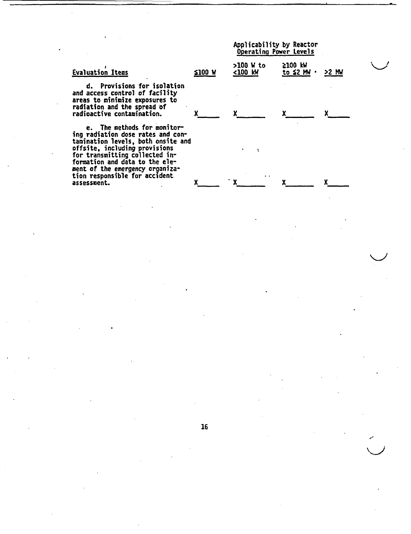|                                                                                                                                                                                                                                                                                                |        | Whileapilley by vagrent<br>Operating Power Levels |                         |       |  |
|------------------------------------------------------------------------------------------------------------------------------------------------------------------------------------------------------------------------------------------------------------------------------------------------|--------|---------------------------------------------------|-------------------------|-------|--|
| <b>Evaluation Items</b>                                                                                                                                                                                                                                                                        | ≤100 W | >100 W to<br><100 kW                              | $2100$ kW<br>to ≨2 MM · | >2 MW |  |
| d. Provisions for isolation<br>and access control of facility<br>areas to minimize exposures to<br>radiation and the spread of<br>radioactive contamination.                                                                                                                                   |        |                                                   |                         |       |  |
| e. The methods for monitor-<br>ing radiation dose rates and con-<br>tamination levels, both onsite and<br>offsite, including provisions<br>for transmitting collected in-<br>formation and data to the ele-<br>ment of the emergency organiza-<br>tion responsible for accident<br>assessment. |        | . .                                               |                         |       |  |
|                                                                                                                                                                                                                                                                                                |        |                                                   |                         |       |  |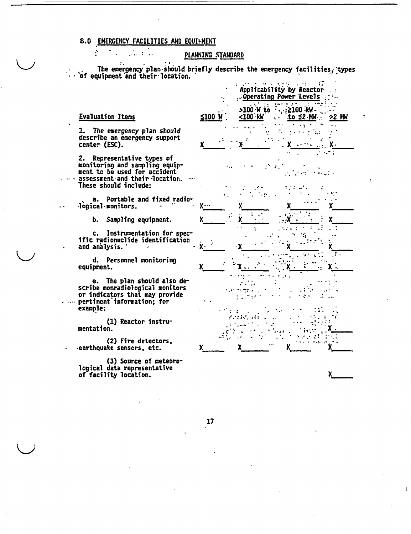# 8.0 EMERGENCY FACILITIES AND EQUIPMENT  $\sim$

 $\cdot$ :

### PLANNING STANDARD

The emergency plan should briefly describe the emergency facilities, types of equipment and their location.

### **Evaluation Items**

 $\mathbb{R}^2$ 

1. The emergency plan should describe an emergency support center (ESC).

2. Representative types of monitoring and sampling equipment to be used for accident assessment and their location. These should include:

a. Portable and fixed radiological monitors.

b. Sampling equipment.

c. Instrumentation for specific radionuclide identification and analysis.

d. Personnel monitoring equipment.

e. The plan should also de-<br>scribe nonradiological monitors or indicators that may provide . ... pertinent information; for example:

> $(1)$  Reactor instrumentation.

(2) Fire detectors, earthquake sensors, etc.

(3) Source of meteorological data representative of facility location.



X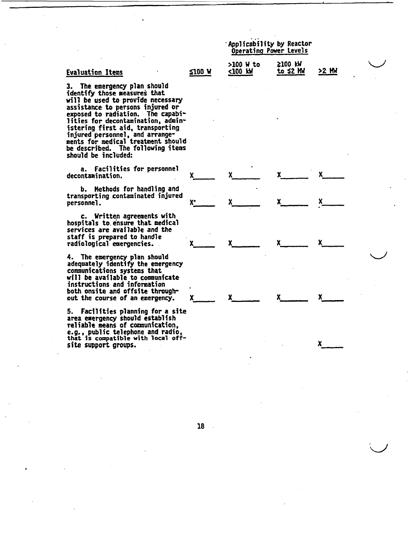|                      | Applicability by Reactor<br>Operating Power Levels |       |
|----------------------|----------------------------------------------------|-------|
| >100 W to<br><100 kW | 2100 KW<br>to ≤2 MW                                | >2 MW |

x x x **x**

**x x x x x** 

x\_\_\_ **x** x **x\_\_** \_\_

**x x x x x** 

x

# Evaluation Items 100 **W 100 W**

3. The emergency plan should identify those measures that will be used to provide necessary assistance to persons injured or exposed to radiation. The capabilities for decontamination, administering first aid, transporting injured personnel, and arrangements for medical treatment should be described. The following items should be included:

a. Facilities for personnel decontamination.

b. Methods for handling and transporting contaminated injured personnel.

c. Written agreements with hospitals to. ensure that medical services are available and the staff is prepared to handle radiological emergencies.

4. The emergency plan should adequately identify the emergency comunications systems that will be available to communicate instructions and information both onsite and offslte throughout the course of an emergency.

5. Facilities planning for a site area emergency should establish reliable means of comunication, e.g., public telephone and radio, that **is** compatible with local offsite support groups.

18

 $\mathbb{R}^2$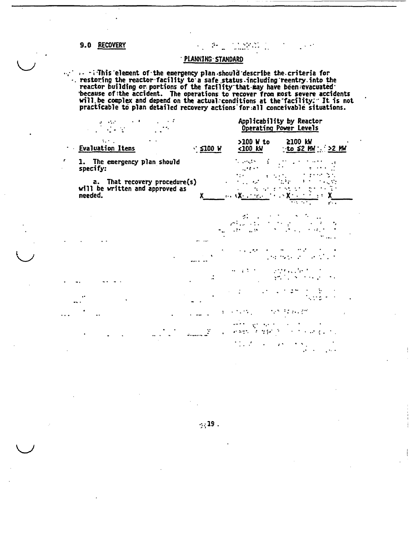### 9.0 RECOVERY

# · PLANNING STANDARD

 $\ddot{\phantom{a}}$  .

 $\begin{aligned} \begin{bmatrix} \mathbf{1} & \mathbf{1} & \mathbf{1} \\ \mathbf{1} & \mathbf{1} & \mathbf{1} \end{bmatrix} & \begin{bmatrix} \mathbf{1} & \mathbf{1} & \mathbf{1} \\ \mathbf{1} & \mathbf{1} & \mathbf{1} \end{bmatrix} \end{aligned}$ 

 $\cdots$  in this element of the emergency plan should describe the criteria for<br>restoring the reactor facility to a safe status including reentry into the<br>reactor building or portions of the facility that may have been evacu

|                                                                             |              |                            | Applicability by Reactor<br>Operating Power Levels |  |
|-----------------------------------------------------------------------------|--------------|----------------------------|----------------------------------------------------|--|
| tin L<br><b>Evaluation Items</b>                                            | $\leq$ 100 W | $>100$ W to<br><100 kW     | 2100 KW<br>to $52$ MM $\cdot$ >2 MM                |  |
| 1. The emergency plan should specify:                                       |              | <b>Service</b>             |                                                    |  |
| a. That recovery procedure(s)<br>will be written and approved as<br>needed. |              | ale <b>CX</b> of the c     | $\mathbf{r}$                                       |  |
|                                                                             |              | $\mathcal{L}_{\text{max}}$ |                                                    |  |
|                                                                             |              |                            |                                                    |  |
|                                                                             |              |                            |                                                    |  |
|                                                                             |              |                            |                                                    |  |
|                                                                             |              |                            |                                                    |  |
|                                                                             |              | 计微型 法财务的人                  |                                                    |  |
|                                                                             |              |                            | $\mathbf{z}$ .                                     |  |
|                                                                             |              |                            |                                                    |  |

 $\cdot$  : 19.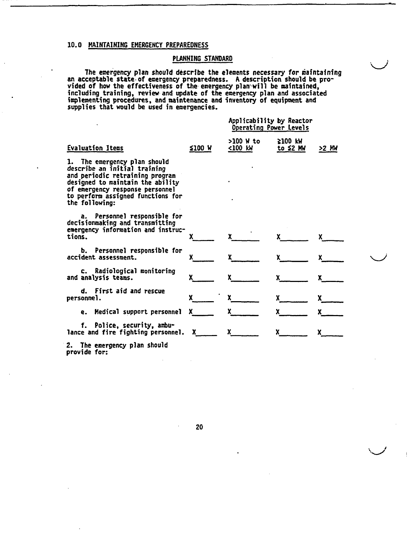### 10.0 MAINTAINING EMERGENCY PREPAREDNESS

### PLANNING STANDARD

**k-Ij**

The emergency plan should describe the elements necessary for maintaining an acceptable state of emergency preparedness. **A** description should be provided of how the effectiveness of the emergency plan-will be maintained including training, review-and update of the emergency plan and associated implementing procedures, and maintenance and inventory of equipment and supplies that would be used in emergencies

|                                                                                                                                                                                                                               |        | Applicability by Reactor<br>Operating Power Levels |                           |       |
|-------------------------------------------------------------------------------------------------------------------------------------------------------------------------------------------------------------------------------|--------|----------------------------------------------------|---------------------------|-------|
| Evaluation Items                                                                                                                                                                                                              | ≰100 W | >100 W to<br><100 kW                               | ≩100 KW<br>to $\leq 2$ MW | >2 MW |
| 1. The emergency plan should<br>describe an initial training<br>and periodic retraining program<br>designed to maintain the ability<br>of emergency response personnel<br>to perform assigned functions for<br>the following: |        |                                                    |                           |       |
| a. Personnel responsible for<br>decisionmaking and transmitting<br>emergency information and instruc-<br>tions.                                                                                                               |        |                                                    |                           |       |
| b. Personnel responsible for<br>accident assessment.                                                                                                                                                                          |        |                                                    |                           |       |
| c. Radiological monitoring<br>and analysis teams.                                                                                                                                                                             | X.     |                                                    |                           |       |
| d. First aid and rescue<br>personne].                                                                                                                                                                                         |        |                                                    |                           |       |
| Medical support personnel<br>e.                                                                                                                                                                                               | X.     |                                                    |                           |       |
| f. Police, security, ambu-<br>lance and fire fighting personnel.                                                                                                                                                              | X.     |                                                    |                           |       |
| 9 - Tha anawaanay alaa shauld                                                                                                                                                                                                 |        |                                                    |                           |       |

2. The emergency plan should provide for: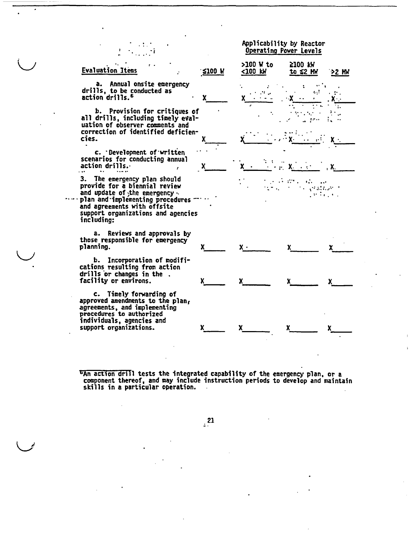$\sim 10$  $\mathbb{R}^n$ 

| <b>Evaluation Items</b>                                                                                                                                                                                                                | $$100$ M | >100 W to<br>$100$ kW | <b>≥100 KW</b><br>to $\leq 2$ MW | `>2 MW |
|----------------------------------------------------------------------------------------------------------------------------------------------------------------------------------------------------------------------------------------|----------|-----------------------|----------------------------------|--------|
| a. Annual onsite emergency<br>drills, to be conducted as<br>action drills. <sup>6</sup>                                                                                                                                                |          |                       |                                  |        |
| b. Provision for critiques of<br>all drills, including timely eval-<br>uation of observer comments and                                                                                                                                 |          |                       |                                  |        |
| correction of identified deficien-<br>cies.                                                                                                                                                                                            |          |                       |                                  |        |
| c. Development of written<br>scenarios for conducting annual<br>$action$ drills.                                                                                                                                                       |          |                       |                                  |        |
| 3. The emergency plan should<br>provide for a biennial review<br>and update of the emergency.<br>$\cdots$ plan and implementing procedures $\cdots$<br>and agreements with offsite<br>support organizations and agencies<br>including: |          |                       |                                  |        |
| a. Reviews and approvals by<br>those responsible for emergency<br>planning.                                                                                                                                                            |          |                       |                                  |        |
| b. Incorporation of modifi-<br>cations resulting from action<br>drills or changes in the.<br>facility or environs.                                                                                                                     |          |                       |                                  |        |
| c. Timely forwarding of<br>approved amendments to the plan,<br>agreements, and implementing<br>procedures to authorized<br>individuals, agencies and<br>support organizations.                                                         |          |                       |                                  | x      |

Applicability by Reactor Operating Power Levels

 $\bullet$ 

**bAn action drill tests the integrated capability of the emergency plan, or a** component thereof, and may include instruction periods to develop and maintain skills in a particular operation.

 $\frac{21}{2}$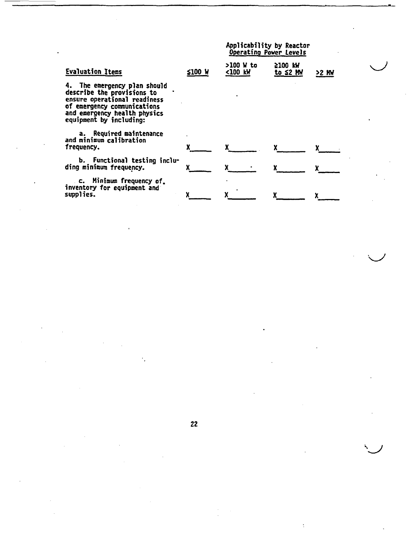|                                                                                                                                                                                      |               | Applicability by Reactor<br>Operating Power Levels |                           |         |
|--------------------------------------------------------------------------------------------------------------------------------------------------------------------------------------|---------------|----------------------------------------------------|---------------------------|---------|
| <b>Evaluation Items</b>                                                                                                                                                              | <b>≤100 W</b> | >100 W to<br><100 kW                               | 2100 KW<br>to $\leq 2$ MW | $>2$ MW |
| 4. The emergency plan should<br>describe the provisions to<br>ensure operational readiness<br>of emergency communications<br>and emergency health physics<br>equipment by including: |               |                                                    |                           |         |
| a. Required maintenance<br>and minimum calibration<br>frequency.                                                                                                                     |               |                                                    |                           |         |
| b. Functional testing inclu-<br>ding minimum frequency.                                                                                                                              |               |                                                    |                           |         |
| c. Minimum frequency of.<br>inventory for equipment and<br>supplies.                                                                                                                 |               |                                                    |                           |         |

 $\sqrt{1-\frac{1}{2}}$ 

 $\mathcal{L}^{\text{max}}_{\text{max}}$ 

 $\mathcal{L}^{\mathcal{L}}$  and  $\mathcal{L}^{\mathcal{L}}$  are the set of the set of the set of the set of  $\mathcal{L}^{\mathcal{L}}$ 

 $\label{eq:2.1} \frac{1}{\sqrt{2}}\left(\frac{1}{\sqrt{2}}\right)^{2} \left(\frac{1}{\sqrt{2}}\right)^{2} \left(\frac{1}{\sqrt{2}}\right)^{2} \left(\frac{1}{\sqrt{2}}\right)^{2} \left(\frac{1}{\sqrt{2}}\right)^{2} \left(\frac{1}{\sqrt{2}}\right)^{2} \left(\frac{1}{\sqrt{2}}\right)^{2} \left(\frac{1}{\sqrt{2}}\right)^{2} \left(\frac{1}{\sqrt{2}}\right)^{2} \left(\frac{1}{\sqrt{2}}\right)^{2} \left(\frac{1}{\sqrt{2}}\right)^{2} \left(\$ 

 $\sim 10^{-1}$ 

 $\mathcal{L}^{\mathcal{L}}(\mathcal{L}^{\mathcal{L}})$  and  $\mathcal{L}^{\mathcal{L}}(\mathcal{L}^{\mathcal{L}})$  and  $\mathcal{L}^{\mathcal{L}}(\mathcal{L}^{\mathcal{L}})$ 

 $\label{eq:2.1} \frac{1}{\sqrt{2}}\int_{\mathbb{R}^3}\frac{1}{\sqrt{2}}\left(\frac{1}{\sqrt{2}}\right)^2\frac{1}{\sqrt{2}}\left(\frac{1}{\sqrt{2}}\right)^2\frac{1}{\sqrt{2}}\left(\frac{1}{\sqrt{2}}\right)^2\frac{1}{\sqrt{2}}\left(\frac{1}{\sqrt{2}}\right)^2\frac{1}{\sqrt{2}}\left(\frac{1}{\sqrt{2}}\right)^2\frac{1}{\sqrt{2}}\frac{1}{\sqrt{2}}\frac{1}{\sqrt{2}}\frac{1}{\sqrt{2}}\frac{1}{\sqrt{2}}\frac{1}{\sqrt{2}}$ 

 $\frac{1}{2}$ 

 $\mathcal{F}_{\mathcal{G}}$ 

 $\label{eq:2.1} \mathcal{L}(\mathcal{L}^{\mathcal{L}}_{\mathcal{L}}(\mathcal{L}^{\mathcal{L}}_{\mathcal{L}})) \leq \mathcal{L}(\mathcal{L}^{\mathcal{L}}_{\mathcal{L}}(\mathcal{L}^{\mathcal{L}}_{\mathcal{L}})) \leq \mathcal{L}(\mathcal{L}^{\mathcal{L}}_{\mathcal{L}}(\mathcal{L}^{\mathcal{L}}_{\mathcal{L}}))$ 

 $\label{eq:2.1} \frac{1}{\sqrt{2}}\int_{\mathbb{R}^3}\frac{1}{\sqrt{2}}\left(\frac{1}{\sqrt{2}}\right)^2\frac{1}{\sqrt{2}}\left(\frac{1}{\sqrt{2}}\right)^2\frac{1}{\sqrt{2}}\left(\frac{1}{\sqrt{2}}\right)^2.$ 

 $\label{eq:2.1} \mathcal{L}(\mathcal{A}) = \mathcal{L}(\mathcal{A}) \otimes \mathcal{L}(\mathcal{A})$  $\mathcal{L}^{\text{max}}_{\text{max}}$  and  $\mathcal{L}^{\text{max}}_{\text{max}}$ 

 $\hat{\mathcal{L}}$ 

22

 $\label{eq:2.1} \frac{1}{2} \sum_{i=1}^n \frac{1}{2} \sum_{j=1}^n \frac{1}{2} \sum_{j=1}^n \frac{1}{2} \sum_{j=1}^n \frac{1}{2} \sum_{j=1}^n \frac{1}{2} \sum_{j=1}^n \frac{1}{2} \sum_{j=1}^n \frac{1}{2} \sum_{j=1}^n \frac{1}{2} \sum_{j=1}^n \frac{1}{2} \sum_{j=1}^n \frac{1}{2} \sum_{j=1}^n \frac{1}{2} \sum_{j=1}^n \frac{1}{2} \sum_{j=1}^n \frac{$ 

 $\sim$ 

 $\frac{1}{2}$ 

 $\mathcal{L}_{\text{max}}$  and  $\mathcal{L}_{\text{max}}$ 

 $\tilde{\mathcal{X}}$ 

 $\mathcal{L}^{\text{max}}_{\text{max}}$  . The  $\mathcal{L}^{\text{max}}_{\text{max}}$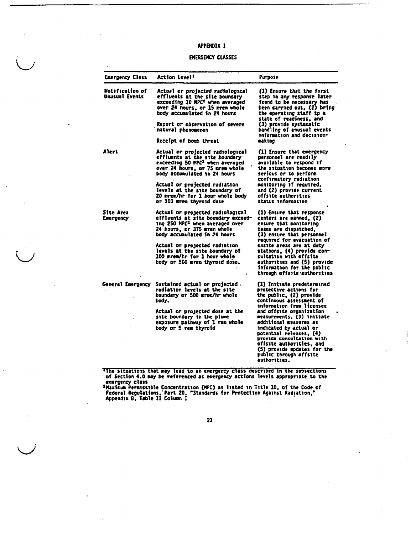### APPENDIX **I**

#### EMERGENCY CLASSES

| <b>Emergency Class</b>            | <b>Action Level<sup>1</sup></b>                                                                                                                                                                                                                                                                                           | Purpose                                                                                                                                                                                                                                                                                                                                           |
|-----------------------------------|---------------------------------------------------------------------------------------------------------------------------------------------------------------------------------------------------------------------------------------------------------------------------------------------------------------------------|---------------------------------------------------------------------------------------------------------------------------------------------------------------------------------------------------------------------------------------------------------------------------------------------------------------------------------------------------|
| Hotification of<br>Unusual Events | Actual or projected radiological<br>effluents at the site boundary<br>exceeding 10 MPC <sup>z</sup> when averaged<br>over 24 hours, or 15 mrem whole<br>body accumulated in 24 hours<br>Report or observation of severe<br>natural phenomenon<br>Receipt of bomb threat                                                   | (1) Ensure that the first<br>step in any response later<br>found to be necessary has<br>been carried out, (2) bring<br>the operating staff tp a<br>state of readiness, and<br>(3) provide systematic<br>handling of unusual events<br>information and decision-<br>making                                                                         |
| Alert                             | Actual or projected radiological<br>effluents at the site boundary<br>exceeding 50 HPC <sup>2</sup> when averaged<br>over 24 hours, or 75 mrem whole<br>body accumulated in 24 hours<br>Actual or projected radiation<br>levels at the site boundary of<br>20 mrem/hr for 1 hour whole body<br>or 100 mrem thyroid dose   | (1) Ensure that emergency<br>personnel are readily<br>available to respond if<br>the situation becomes more<br>serious or to perform<br>confirmatory radiation<br>monttoring if required,<br>and (2) provide current<br>offsite authorities<br>status information                                                                                 |
| <b>Site Area</b><br>Emergency     | Actual or projected radiological<br>effluents at site boundary exceed-<br>ing 250 MPC <sup>2</sup> when averaged over<br>24 hours, or 375 mrem whole<br>body accumulated in 24 hours<br>Actual or projected radiation<br>levels at the site boundary of<br>100 mrem/hr for 1 hour whole<br>body or 500 mrem thyroid dose. | (1) Ensure that response<br>centers are manned, (2)<br>ensure that monitoring<br>teams are dispatched.<br>(3) ensure that personnel<br>required for evacuation of<br>onsite areas are at duty<br>stations, (4) provide com-<br>sultation with offsite<br>authorities and (5) provide<br>information for the public<br>through offsite authorities |
| General Emergency                 | Sustained actual or projected.<br>radiation levels at the site<br>boundary or 500 mrem/hr whole<br>body.                                                                                                                                                                                                                  | (1) Initiate predetermined<br>protective actions for<br>the public, (2) provide<br>continuous assessment of<br>information from licensee                                                                                                                                                                                                          |
|                                   | Actual or projected dose at the<br>site boundary in the plune<br>exposure pathway of 1 ren whole<br>body or 5 rem thyroid                                                                                                                                                                                                 | and offsite organization<br>measurements, (3) initiate<br>additional measures as<br>indicated by actual or<br>potential releases, (4)<br>provide consultation with<br>offsite authorities, and<br>(5) provide updates for the<br>public through offsite<br>authorities.                                                                           |

The situations that may lead to an emergency class described in the subsections of Section 4.0 **may** be referenced as emergency actions levels appropriate to the

emergency class ZMaxlmum Permissible Concentration (KPC) as listed in Title 10, of the Code of Federal Regulations.'Part 20. "Standards for Protection Against Radiation," Appendix B, Table **11** Colten **I**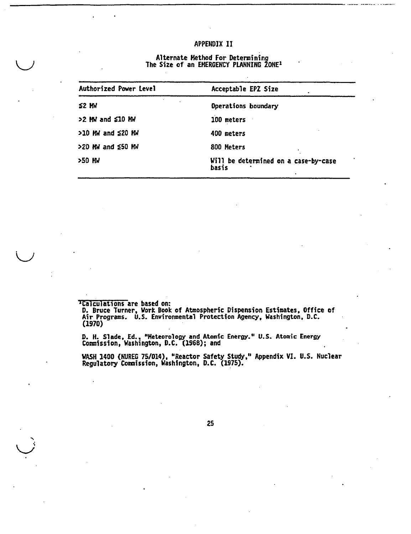### APPENDIX II

### Alternate Method For Determining The Size of an EMERGENCY PLANNING ZONE

| <b>Authorized Power Level</b> | Acceptable EPZ Size                           |
|-------------------------------|-----------------------------------------------|
| $$2$ MW                       | Operations boundary                           |
| >2 MW and \$10 MW             | 100 meters                                    |
| $>10$ MW and $\leq 20$ MW     | 400 meters                                    |
| >20 MW and £50 MW             | 800 Meters                                    |
| >50 MW                        | Will be determined on a case-by-case<br>basis |

'Calculations are based on:

**D.** Bruce Turner, Work Book of Atmospheric Dispension Estimates, Office of Air Programs. U.S. Environmental Protection Agency, Washington, D.C. (1970)

D. H. Slade, Ed., "Meteorology and Atomic Energy." U.S. Atomic Energy Commission, Washington, D.C. (1968); and

WASH 1400 (NUREG 75/014), "Reactor Safety Study," Appendix VI. U.S. Nuclear Regulatory Commission, Washington, D.C. (1975).